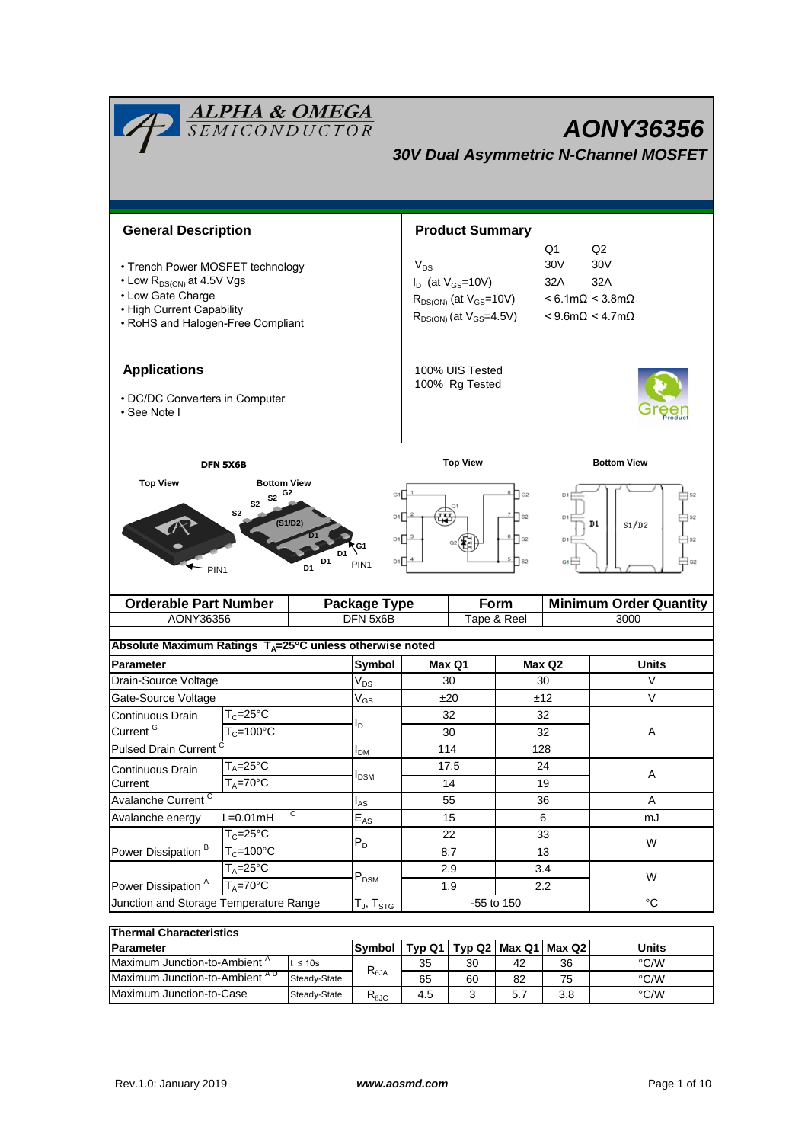| <b>ALPHA &amp; OMEGA</b><br>SEMICONDUCTOR<br><b>AONY36356</b><br><b>30V Dual Asymmetric N-Channel MOSFET</b>                                                     |                             |                            |                                 |                                                                                                                                                                                                                                                      |                        |                            |                    |                                       |  |
|------------------------------------------------------------------------------------------------------------------------------------------------------------------|-----------------------------|----------------------------|---------------------------------|------------------------------------------------------------------------------------------------------------------------------------------------------------------------------------------------------------------------------------------------------|------------------------|----------------------------|--------------------|---------------------------------------|--|
|                                                                                                                                                                  |                             |                            |                                 |                                                                                                                                                                                                                                                      |                        |                            |                    |                                       |  |
| <b>General Description</b>                                                                                                                                       |                             |                            |                                 |                                                                                                                                                                                                                                                      | <b>Product Summary</b> |                            |                    |                                       |  |
| • Trench Power MOSFET technology<br>• Low R <sub>DS(ON)</sub> at 4.5V Vgs<br>• Low Gate Charge<br>• High Current Capability<br>• RoHS and Halogen-Free Compliant |                             |                            |                                 | Q1<br>Q2<br>30V<br>30 <sub>V</sub><br>$V_{DS}$<br>$I_D$ (at $V_{GS}$ =10V)<br>32A<br>32A<br>$< 6.1 \text{m}\Omega < 3.8 \text{m}\Omega$<br>$R_{DS(ON)}$ (at $V_{GS}$ =10V)<br>$R_{DS(ON)}$ (at $V_{GS}$ =4.5V)<br>$< 9.6$ m $\Omega$ < 4.7m $\Omega$ |                        |                            |                    |                                       |  |
| <b>Applications</b><br>• DC/DC Converters in Computer<br>• See Note I                                                                                            |                             |                            |                                 | 100% UIS Tested<br>100% Rg Tested                                                                                                                                                                                                                    |                        |                            |                    |                                       |  |
|                                                                                                                                                                  |                             |                            |                                 |                                                                                                                                                                                                                                                      |                        |                            |                    |                                       |  |
| <b>DFN 5X6B</b>                                                                                                                                                  |                             |                            |                                 | <b>Top View</b>                                                                                                                                                                                                                                      |                        |                            | <b>Bottom View</b> |                                       |  |
| $S2$ G <sub>2</sub><br>S <sub>2</sub><br>S <sub>2</sub><br>(S1/D2)<br>D <sub>1</sub><br>D1<br>PIN <sub>1</sub><br>D <sub>1</sub><br>$-$ PIN1                     |                             |                            |                                 | G1<br>$\mathsf{I}_{\mathsf{G2}}$<br>D <sub>1</sub><br>D1<br>D <sub>1</sub><br>D1 <sup>[−</sup><br>D <sub>1</sub><br>D1<br>S <sub>2</sub><br>G <sub>1</sub>                                                                                           |                        |                            | D1<br>S1/D2        |                                       |  |
| <b>Orderable Part Number</b><br>AONY36356                                                                                                                        |                             |                            | <b>Package Type</b><br>DFN 5x6B |                                                                                                                                                                                                                                                      |                        | <b>Form</b><br>Tape & Reel |                    | <b>Minimum Order Quantity</b><br>3000 |  |
|                                                                                                                                                                  |                             |                            |                                 |                                                                                                                                                                                                                                                      |                        |                            |                    |                                       |  |
| Absolute Maximum Ratings $T_A = 25^\circ \text{C}$ unless otherwise noted                                                                                        |                             |                            |                                 |                                                                                                                                                                                                                                                      |                        |                            |                    |                                       |  |
| <b>Parameter</b>                                                                                                                                                 |                             |                            | Symbol                          |                                                                                                                                                                                                                                                      | Max Q1                 |                            | Max Q2             | Units                                 |  |
| Drain-Source Voltage                                                                                                                                             |                             |                            | $V_{DS}$                        |                                                                                                                                                                                                                                                      | 30                     | 30                         |                    | V                                     |  |
| Gate-Source Voltage                                                                                                                                              |                             |                            | $V_{GS}$                        | ±20                                                                                                                                                                                                                                                  |                        |                            | V<br>±12           |                                       |  |
| Continuous Drain                                                                                                                                                 | $T_c = 25^\circ C$          |                            | I <sub>D</sub>                  | 32                                                                                                                                                                                                                                                   |                        | 32<br>32                   |                    |                                       |  |
| Current <sup>G</sup>                                                                                                                                             | $T_c = 100°C$               |                            |                                 |                                                                                                                                                                                                                                                      | 30                     |                            |                    | Α                                     |  |
| Pulsed Drain Current <sup>C</sup>                                                                                                                                |                             |                            | I <sub>DM</sub>                 | 114                                                                                                                                                                                                                                                  |                        |                            | 128                |                                       |  |
| $T_A = 25$ °C<br>Continuous Drain<br>$T_A = 70$ °C<br>Current                                                                                                    |                             |                            | $I_{DSM}$                       |                                                                                                                                                                                                                                                      | 17.5                   |                            | 24                 | A                                     |  |
|                                                                                                                                                                  |                             |                            |                                 |                                                                                                                                                                                                                                                      | 14                     | 19                         |                    |                                       |  |
| Avalanche Current <sup>C</sup><br>C                                                                                                                              |                             |                            | $I_{AS}$                        |                                                                                                                                                                                                                                                      | 55                     |                            | 36                 | Α                                     |  |
| Avalanche energy                                                                                                                                                 | $L=0.01mH$<br>$T_c = 25$ °C | $\mathsf{E}_{\mathsf{AS}}$ |                                 |                                                                                                                                                                                                                                                      | 15<br>22               | 6                          |                    | mJ                                    |  |
| Power Dissipation <sup>B</sup>                                                                                                                                   | $T_c = 100^{\circ}$ C       |                            | $P_D$                           |                                                                                                                                                                                                                                                      | 8.7                    | 33<br>13                   |                    | W                                     |  |
|                                                                                                                                                                  | $T_A = 25$ °C               |                            |                                 |                                                                                                                                                                                                                                                      | 2.9                    |                            | 3.4                |                                       |  |
| Power Dissipation <sup>A</sup>                                                                                                                                   | $T_A = 70^\circ C$          |                            | $P_{DSM}$                       |                                                                                                                                                                                                                                                      | 1.9                    | 2.2                        |                    | W                                     |  |
| Junction and Storage Temperature Range                                                                                                                           | $T_{\sf J}, T_{\sf STG}$    |                            |                                 | -55 to 150                                                                                                                                                                                                                                           |                        | $^{\circ}C$                |                    |                                       |  |
| <b>Thermal Characteristics</b>                                                                                                                                   |                             |                            |                                 |                                                                                                                                                                                                                                                      |                        |                            |                    |                                       |  |

| ו ווסו ווומו טוומו מטנטו ואנוט           |              |                                   |     |    |                                   |       |      |  |
|------------------------------------------|--------------|-----------------------------------|-----|----|-----------------------------------|-------|------|--|
| <b>IParameter</b>                        | Svmbol       |                                   |     |    | Typ Q1   Typ Q2   Max Q1   Max Q2 | Units |      |  |
| Maximum Junction-to-Ambient <sup>"</sup> | $\leq 10s$   | $\mathsf{R}_{\theta \mathsf{JA}}$ | 35  | 30 | 42                                | 36    | °C/W |  |
| Maximum Junction-to-Ambient AD           | Steady-State |                                   | 65  | 60 | 82                                | 75    | °C/W |  |
| Maximum Junction-to-Case<br>Steady-State |              | D<br>Ւ <sub>θ</sub> JC            | 4.5 |    | 5.7                               | 3.8   | °C/W |  |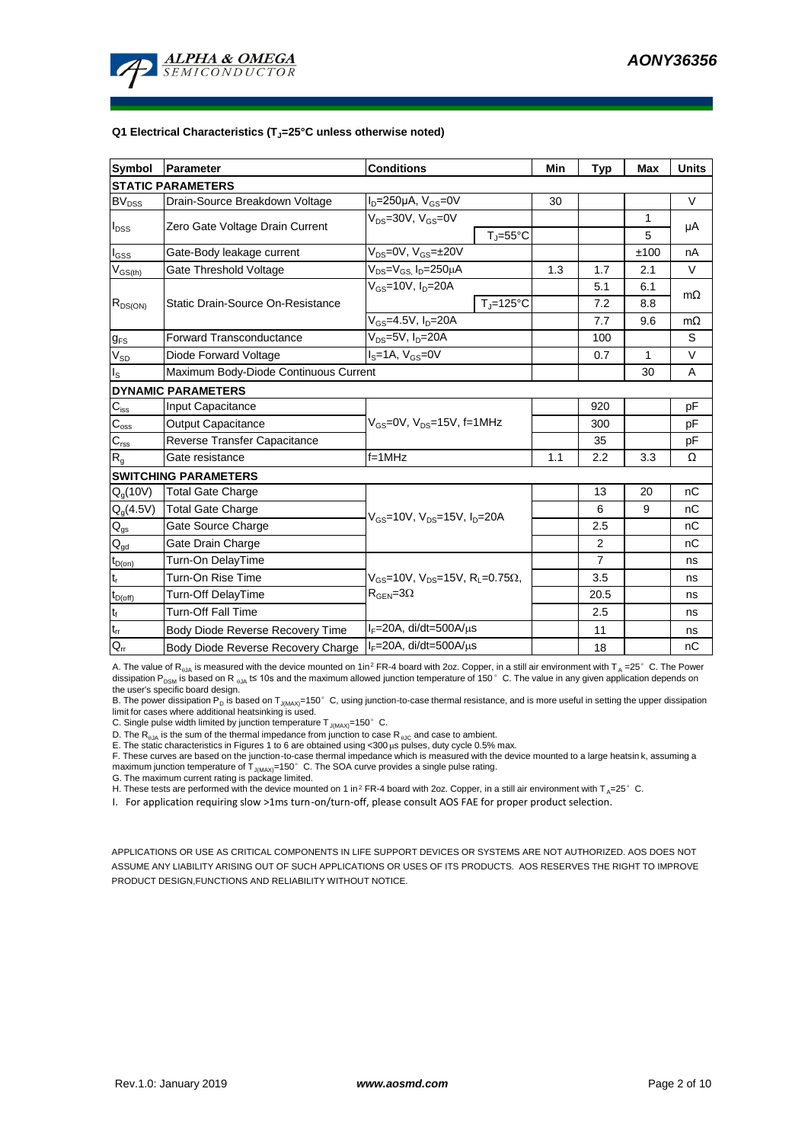

#### **Q1 Electrical Characteristics (TJ=25°C unless otherwise noted)**

| Symbol                                 | Parameter                             | <b>Conditions</b>                                                                           | Min                          | <b>Typ</b> | <b>Max</b>     | <b>Units</b> |           |  |  |
|----------------------------------------|---------------------------------------|---------------------------------------------------------------------------------------------|------------------------------|------------|----------------|--------------|-----------|--|--|
| <b>STATIC PARAMETERS</b>               |                                       |                                                                                             |                              |            |                |              |           |  |  |
| <b>BV<sub>DSS</sub></b>                | Drain-Source Breakdown Voltage        | $I_D = 250 \mu A$ , $V_{GS} = 0V$                                                           |                              | 30         |                |              | V         |  |  |
|                                        | Zero Gate Voltage Drain Current       | $V_{DS}$ =30V, $V_{GS}$ =0V                                                                 |                              |            |                | 1            | μA        |  |  |
| $I_{DSS}$                              |                                       |                                                                                             | $T_{\text{J}} = 55^{\circ}C$ |            |                | 5            |           |  |  |
| $I_{GSS}$                              | Gate-Body leakage current             | $V_{DS} = 0V$ , $V_{GS} = \pm 20V$                                                          |                              |            |                | ±100         | nA        |  |  |
| $V_{GS(th)}$                           | Gate Threshold Voltage                | $V_{DS} = V_{GS}$ , $I_D = 250 \mu A$                                                       |                              | 1.3        | 1.7            | 2.1          | V         |  |  |
|                                        |                                       | $V_{\text{GS}}$ =10V, $I_{\text{D}}$ =20A                                                   |                              |            | 5.1            | 6.1          |           |  |  |
| $R_{DS(ON)}$                           | Static Drain-Source On-Resistance     |                                                                                             | $T_J = 125$ °C               |            | 7.2            | 8.8          | $m\Omega$ |  |  |
|                                        |                                       | $V_{GS} = 4.5V, I_D = 20A$                                                                  |                              |            | 7.7            | 9.6          | $m\Omega$ |  |  |
| $g_{FS}$                               | <b>Forward Transconductance</b>       | $V_{DS} = 5V$ , $I_D = 20A$                                                                 |                              |            | 100            |              | S         |  |  |
| $V_{SD}$                               | Diode Forward Voltage                 | $Is=1A, VGS=0V$                                                                             |                              |            | 0.7            | 1            | V         |  |  |
| $I_{\rm S}$                            | Maximum Body-Diode Continuous Current |                                                                                             |                              |            | 30             | A            |           |  |  |
| <b>DYNAMIC PARAMETERS</b>              |                                       |                                                                                             |                              |            |                |              |           |  |  |
| $C_{iss}$                              | Input Capacitance                     |                                                                                             |                              |            | 920            |              | рF        |  |  |
| $C_{\rm oss}$                          | <b>Output Capacitance</b>             | $V_{GS}$ =0V, $V_{DS}$ =15V, f=1MHz                                                         |                              | 300        |                | рF           |           |  |  |
| $\mathsf{C}_{\text{rss}}$              | Reverse Transfer Capacitance          |                                                                                             |                              | 35         |                | рF           |           |  |  |
| $R_{g}$                                | Gate resistance                       | $f = 1$ MHz                                                                                 | 1.1                          | 2.2        | 3.3            | Ω            |           |  |  |
| <b>SWITCHING PARAMETERS</b>            |                                       |                                                                                             |                              |            |                |              |           |  |  |
| $Q_q(10V)$                             | <b>Total Gate Charge</b>              |                                                                                             |                              |            | 13             | 20           | nC        |  |  |
| $Q_g(4.5V)$                            | <b>Total Gate Charge</b>              | $V_{GS}$ =10V, $V_{DS}$ =15V, $I_{D}$ =20A                                                  |                              | 6          | 9              | nC           |           |  |  |
| $\mathsf{Q}_{\text{gs}}$               | Gate Source Charge                    |                                                                                             |                              | 2.5        |                | nC           |           |  |  |
| $\mathsf{Q}_{\underline{\mathsf{gd}}}$ | Gate Drain Charge                     |                                                                                             |                              |            | 2              |              | nC        |  |  |
| $t_{D(on)}$                            | Turn-On DelayTime                     |                                                                                             |                              |            | $\overline{7}$ |              | ns        |  |  |
| $t_r$                                  | Turn-On Rise Time                     | $V_{GS}$ =10V, $V_{DS}$ =15V, R <sub>1</sub> =0.75 $\Omega$ ,<br>$R_{\text{GEN}} = 3\Omega$ |                              |            | 3.5            |              | ns        |  |  |
| $t_{D(off)}$                           | Turn-Off DelayTime                    |                                                                                             |                              |            | 20.5           |              | ns        |  |  |
| $t_f$                                  | <b>Turn-Off Fall Time</b>             |                                                                                             |                              | 2.5        |                | ns           |           |  |  |
| $t_{rr}$                               | Body Diode Reverse Recovery Time      | $I_F = 20A$ , di/dt=500A/ $\mu$ s                                                           |                              | 11         |                | ns           |           |  |  |
| $\mathsf{Q}_\mathsf{rr}$               | Body Diode Reverse Recovery Charge    | $I_F = 20A$ , di/dt=500A/ $\mu$ s                                                           |                              |            | 18             |              | nС        |  |  |

A. The value of R<sub>aJA</sub> is measured with the device mounted on 1in<sup>2</sup> FR-4 board with 2oz. Copper, in a still air environment with T<sub>A</sub> =25°C. The Power dissipation P<sub>DSM</sub> is based on R  $_{\theta$ JA t≤ 10s and the maximum allowed junction temperature of 150°C. The value in any given application depends on the user's specific board design.

B. The power dissipation  $P_D$  is based on T<sub>J(MAX)</sub>=150° C, using junction-to-case thermal resistance, and is more useful in setting the upper dissipation limit for cases where additional heatsinking is used.

C. Single pulse width limited by junction temperature  $T_{J(MAX)}=150^{\circ}$  C.

D. The  $R_{qJA}$  is the sum of the thermal impedance from junction to case  $R_{qJC}$  and case to ambient.

E. The static characteristics in Figures 1 to 6 are obtained using <300 µs pulses, duty cycle 0.5% max.

F. These curves are based on the junction-to-case thermal impedance which is measured with the device mounted to a large heatsin k, assuming a<br>maximum junction temperature of T<sub>JMAX)</sub>=150°C. The SOA curve provides a single

G. The maximum current rating is package limited.

H. These tests are performed with the device mounted on 1 in<sup>2</sup> FR-4 board with 2oz. Copper, in a still air environment with T<sub>A</sub>=25°C.

I. For application requiring slow >1ms turn-on/turn-off, please consult AOS FAE for proper product selection.

APPLICATIONS OR USE AS CRITICAL COMPONENTS IN LIFE SUPPORT DEVICES OR SYSTEMS ARE NOT AUTHORIZED. AOS DOES NOT ASSUME ANY LIABILITY ARISING OUT OF SUCH APPLICATIONS OR USES OF ITS PRODUCTS. AOS RESERVES THE RIGHT TO IMPROVE PRODUCT DESIGN,FUNCTIONS AND RELIABILITY WITHOUT NOTICE.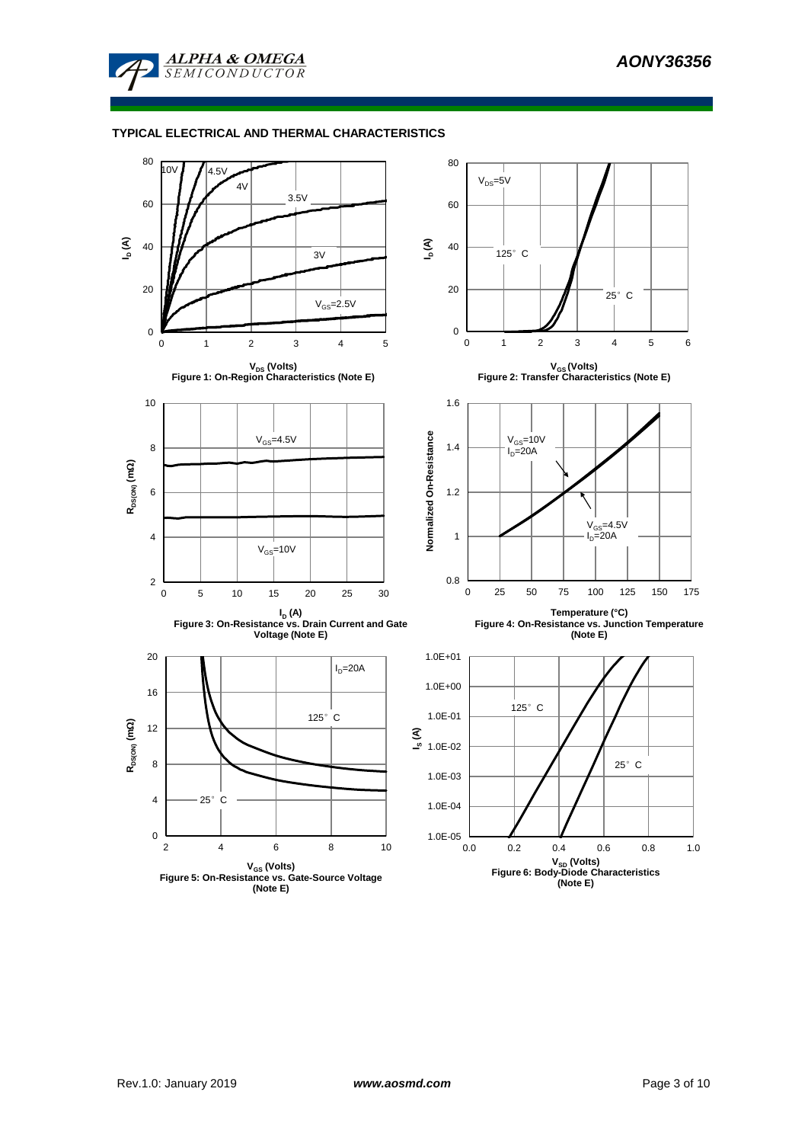

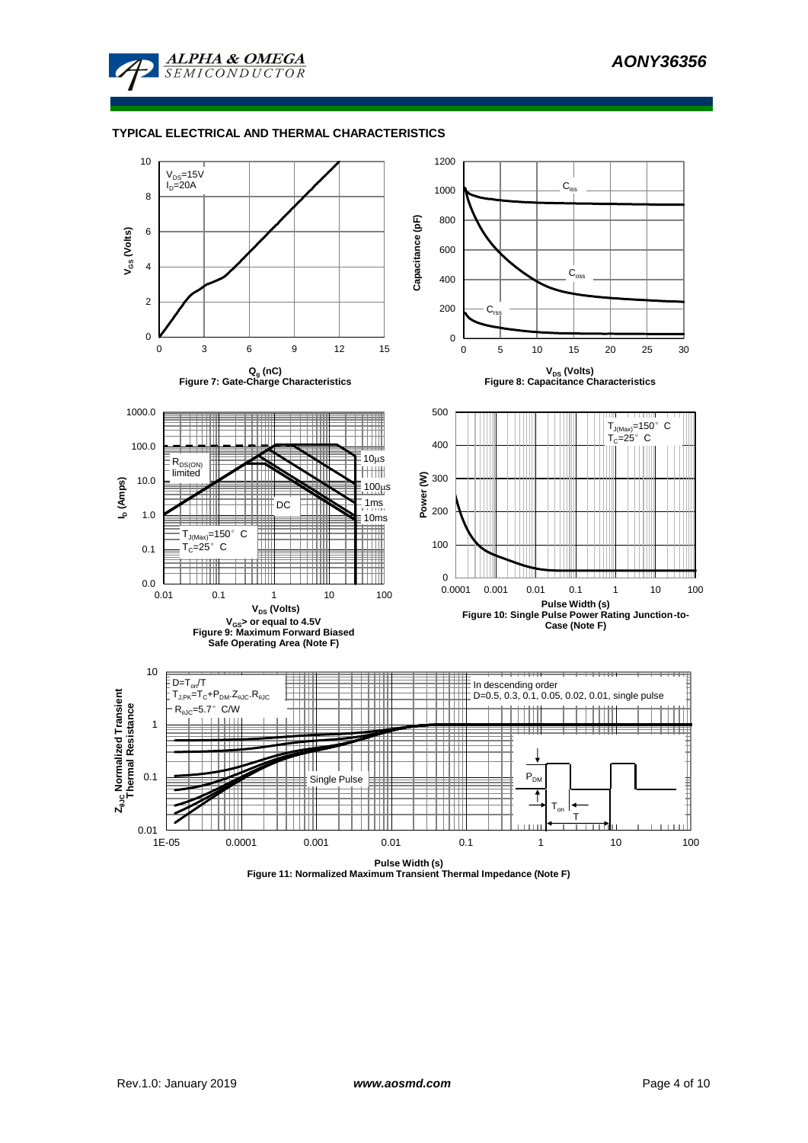



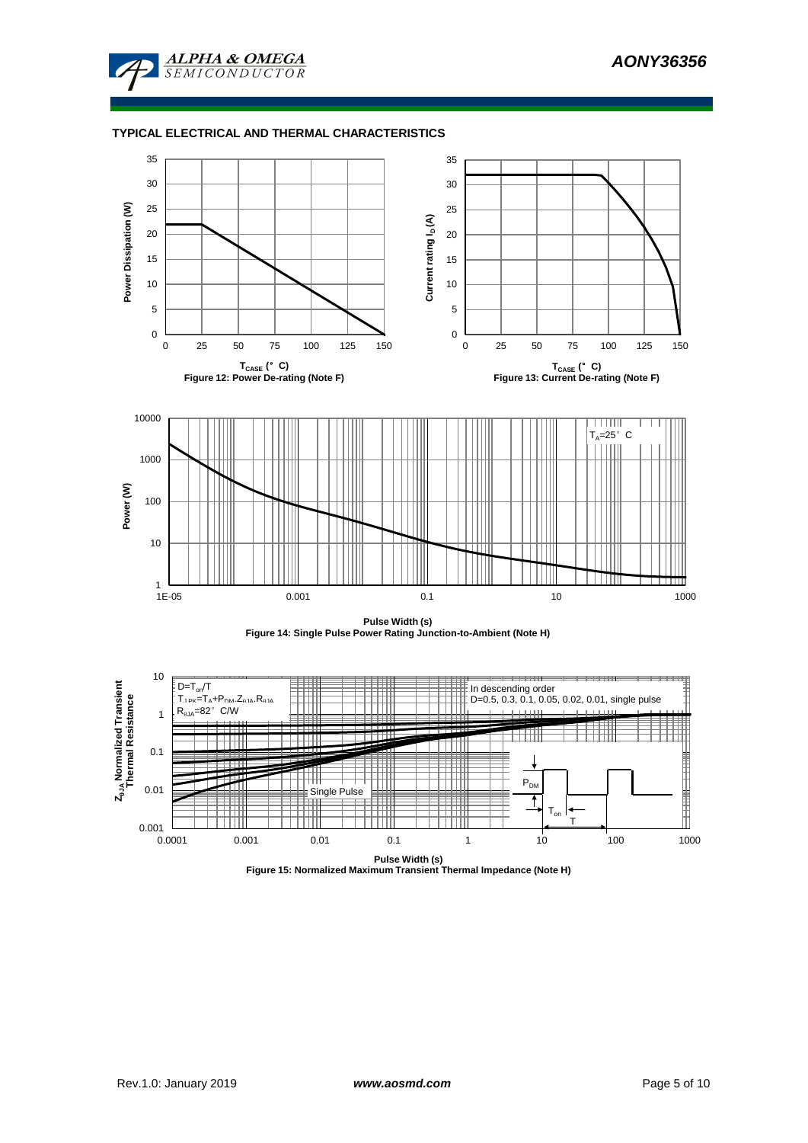







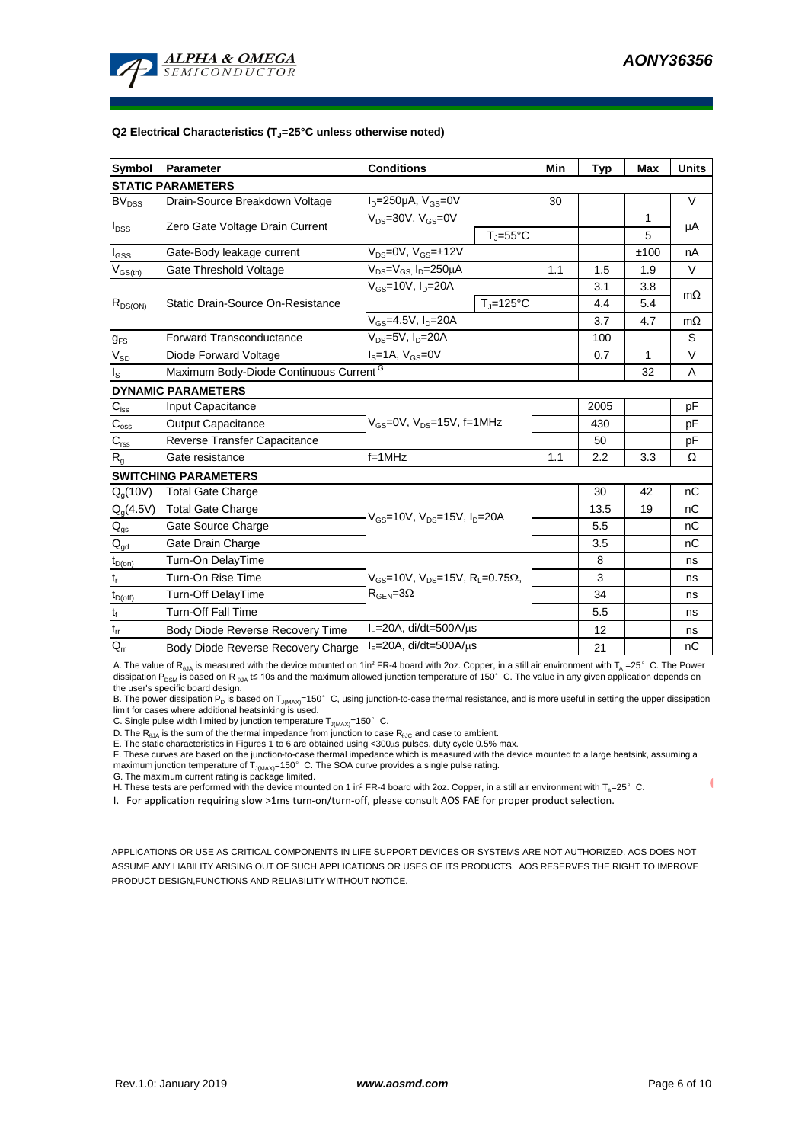

#### **Q2 Electrical Characteristics (TJ=25°C unless otherwise noted)**

| Symbol                    | Parameter                                          | <b>Conditions</b>                                                                                  | Min                 | <b>Typ</b> | Max  | <b>Units</b> |           |  |  |
|---------------------------|----------------------------------------------------|----------------------------------------------------------------------------------------------------|---------------------|------------|------|--------------|-----------|--|--|
| <b>STATIC PARAMETERS</b>  |                                                    |                                                                                                    |                     |            |      |              |           |  |  |
| <b>BV<sub>DSS</sub></b>   | Drain-Source Breakdown Voltage                     | $I_D = 250 \mu A$ , $V_{GS} = 0V$                                                                  |                     | 30         |      |              | V         |  |  |
|                           |                                                    | $V_{DS}$ =30V, $V_{GS}$ =0V                                                                        |                     |            |      | 1            |           |  |  |
| $I_{DSS}$                 | Zero Gate Voltage Drain Current                    |                                                                                                    | $T_i = 55^{\circ}C$ |            |      | 5            | μA        |  |  |
| $I_{GSS}$                 | Gate-Body leakage current                          | $V_{DS} = 0V$ , $V_{GS} = \pm 12V$                                                                 |                     |            |      | ±100         | nA        |  |  |
| $\rm V_{GS(th)}$          | Gate Threshold Voltage                             | $V_{DS} = V_{GS}$ , $I_D = 250 \mu A$                                                              |                     | 1.1        | 1.5  | 1.9          | V         |  |  |
|                           |                                                    | $V_{GS}$ =10V, $I_{D}$ =20A                                                                        |                     |            | 3.1  | 3.8          |           |  |  |
| $R_{DS(ON)}$              | Static Drain-Source On-Resistance                  |                                                                                                    | $T = 125^{\circ}C$  |            | 4.4  | 5.4          | $m\Omega$ |  |  |
|                           |                                                    | $\overline{V_{GS}}$ =4.5V, $I_D$ =20A                                                              |                     |            | 3.7  | 4.7          | $m\Omega$ |  |  |
| $g_{FS}$                  | <b>Forward Transconductance</b>                    | $V_{DS}$ =5V, $I_D$ =20A                                                                           |                     |            | 100  |              | S         |  |  |
| $V_{SD}$                  | Diode Forward Voltage                              | $IS=1A, VGS=0V$                                                                                    |                     |            | 0.7  | 1            | V         |  |  |
| $I_{\rm S}$               | Maximum Body-Diode Continuous Current <sup>G</sup> |                                                                                                    |                     |            | 32   | A            |           |  |  |
| <b>DYNAMIC PARAMETERS</b> |                                                    |                                                                                                    |                     |            |      |              |           |  |  |
| $C_{iss}$                 | Input Capacitance                                  |                                                                                                    |                     |            | 2005 |              | рF        |  |  |
| $C_{\text{oss}}$          | <b>Output Capacitance</b>                          | $V_{GS}$ =0V, $V_{DS}$ =15V, f=1MHz                                                                |                     | 430        |      | рF           |           |  |  |
| $\mathbf{C}_{\text{rss}}$ | Reverse Transfer Capacitance                       |                                                                                                    |                     | 50         |      | рF           |           |  |  |
| $R_{g}$                   | Gate resistance                                    | $f = 1$ MHz                                                                                        | 1.1                 | 2.2        | 3.3  | Ω            |           |  |  |
|                           | <b>SWITCHING PARAMETERS</b>                        |                                                                                                    |                     |            |      |              |           |  |  |
| $Q_q(10V)$                | <b>Total Gate Charge</b>                           |                                                                                                    |                     |            | 30   | 42           | nC        |  |  |
| $Q_g(4.5\overline{V})$    | <b>Total Gate Charge</b>                           | $V_{GS}$ =10V, $V_{DS}$ =15V, $I_{D}$ =20A                                                         |                     |            | 13.5 | 19           | nC        |  |  |
| $\mathsf{Q}_{\text{gs}}$  | Gate Source Charge                                 |                                                                                                    |                     | 5.5        |      | пC           |           |  |  |
| $Q_{gd}$                  | Gate Drain Charge                                  |                                                                                                    |                     |            | 3.5  |              | nC        |  |  |
| $t_{D(0n)}$               | Turn-On DelayTime                                  |                                                                                                    |                     |            | 8    |              | ns        |  |  |
| $t_r$                     | Turn-On Rise Time                                  | $V_{GS}$ =10V, V <sub>DS</sub> =15V, R <sub>L</sub> =0.75 $\Omega$ ,<br>$R_{\text{GEN}} = 3\Omega$ |                     |            | 3    |              | ns        |  |  |
| $t_{D(off)}$              | Turn-Off DelayTime                                 |                                                                                                    |                     |            | 34   |              | ns        |  |  |
| $t_f$                     | <b>Turn-Off Fall Time</b>                          |                                                                                                    |                     |            | 5.5  |              | ns        |  |  |
| $t_{rr}$                  | Body Diode Reverse Recovery Time                   | $I_F = 20A$ , di/dt=500A/ $\mu$ s                                                                  |                     |            | 12   |              | ns        |  |  |
| $Q_{rr}$                  | Body Diode Reverse Recovery Charge                 | $I_F = 20A$ , di/dt=500A/ $\mu$ s                                                                  |                     | 21         |      | nС           |           |  |  |

A. The value of R<sub>0JA</sub> is measured with the device mounted on 1in<sup>2</sup> FR-4 board with 2oz. Copper, in a still air environment with T<sub>A</sub> =25°C. The Power dissipation P<sub>DSM</sub> is based on R <sub>0JA</sub> t≤ 10s and the maximum allowed junction temperature of 150°C. The value in any given application depends on the user's specific board design.

B. The power dissipation P<sub>D</sub> is based on T<sub>J(MAX)</sub>=150°C, using junction-to-case thermal resistance, and is more useful in setting the upper dissipation limit for cases where additional heatsinking is used.

C. Single pulse width limited by junction temperature  $T_{J(MAX)} = 150^\circ$  C.

D. The R<sub>eJA</sub> is the sum of the thermal impedance from junction to case R<sub>eJC</sub> and case to ambient.<br>E. The static characteristics in Figures 1 to 6 are obtained using <300µs pulses, duty cycle 0.5% max.<br>F. These curves are maximum junction temperature of  $T_{J(MAX)}$ =150°C. The SOA curve provides a single pulse rating.

G. The maximum current rating is package limited.

H. These tests are performed with the device mounted on 1 in<sup>2</sup> FR-4 board with 2oz. Copper, in a still air environment with T<sub>A</sub>=25°C.

I. For application requiring slow >1ms turn-on/turn-off, please consult AOS FAE for proper product selection.

APPLICATIONS OR USE AS CRITICAL COMPONENTS IN LIFE SUPPORT DEVICES OR SYSTEMS ARE NOT AUTHORIZED. AOS DOES NOT ASSUME ANY LIABILITY ARISING OUT OF SUCH APPLICATIONS OR USES OF ITS PRODUCTS. AOS RESERVES THE RIGHT TO IMPROVE PRODUCT DESIGN,FUNCTIONS AND RELIABILITY WITHOUT NOTICE.

 $\overline{\mathcal{L}}$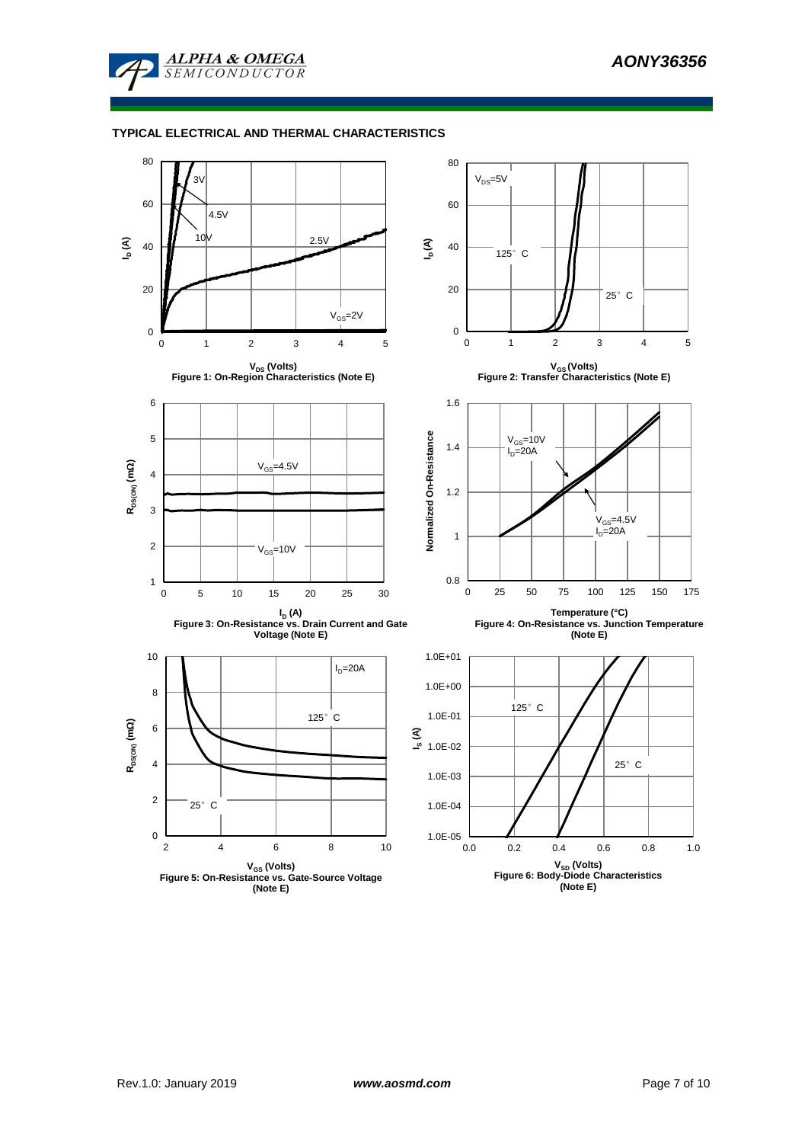

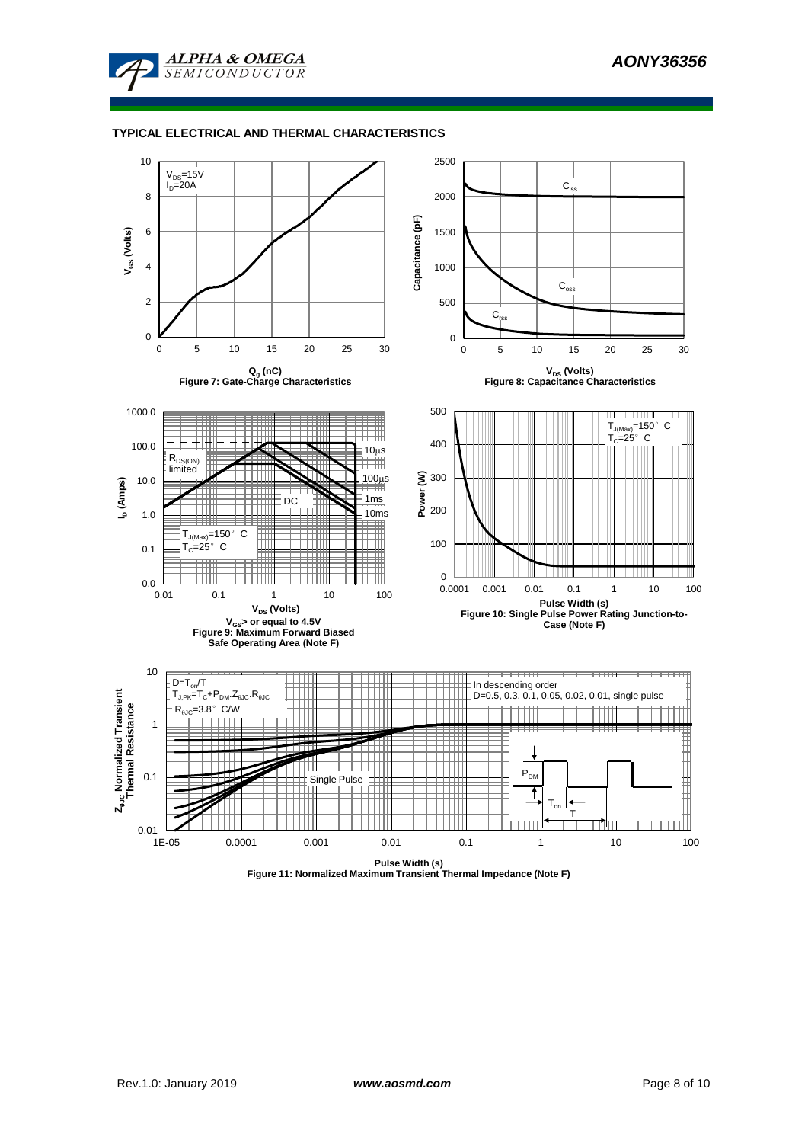



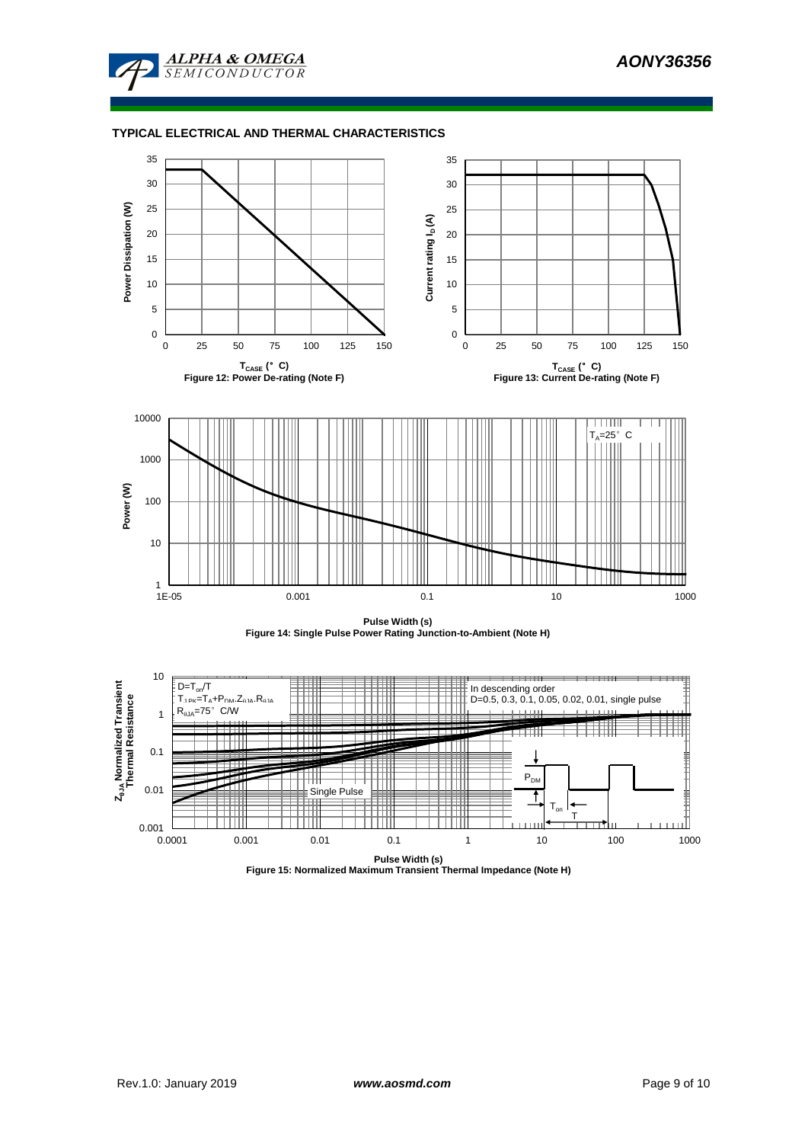